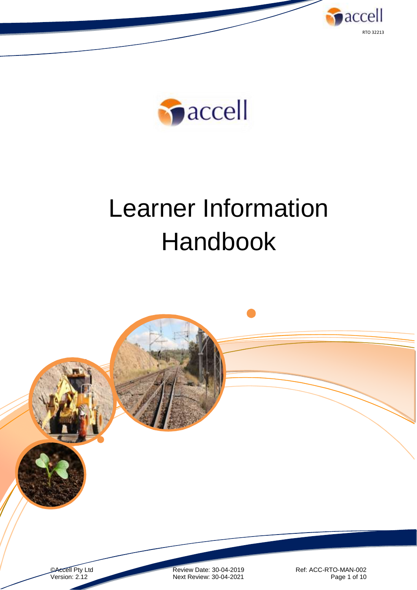



# Learner Information Handbook

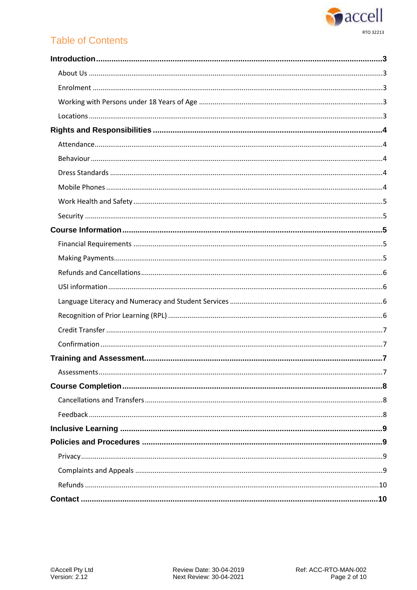

# **Table of Contents**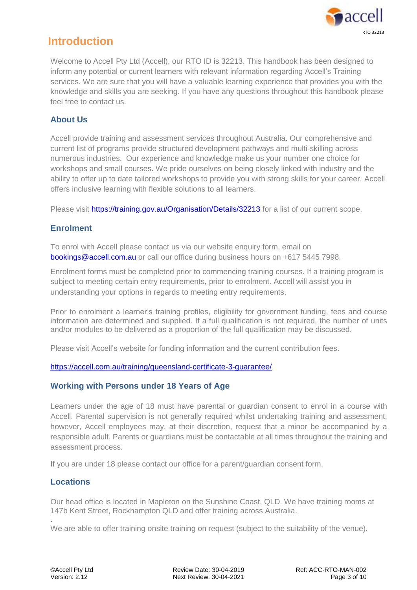

# <span id="page-2-0"></span>**Introduction**

Welcome to Accell Pty Ltd (Accell), our RTO ID is 32213. This handbook has been designed to inform any potential or current learners with relevant information regarding Accell's Training services. We are sure that you will have a valuable learning experience that provides you with the knowledge and skills you are seeking. If you have any questions throughout this handbook please feel free to contact us.

## <span id="page-2-1"></span>**About Us**

Accell provide training and assessment services throughout Australia. Our comprehensive and current list of programs provide structured development pathways and multi-skilling across numerous industries. Our experience and knowledge make us your number one choice for workshops and small courses. We pride ourselves on being closely linked with industry and the ability to offer up to date tailored workshops to provide you with strong skills for your career. Accell offers inclusive learning with flexible solutions to all learners.

Please visit <https://training.gov.au/Organisation/Details/32213> for a list of our current scope.

## <span id="page-2-2"></span>**Enrolment**

To enrol with Accell please contact us via our website enquiry form, email on [bookings@accell.com.au](mailto:bookings@accell.com.au) or call our office during business hours on +617 5445 7998.

Enrolment forms must be completed prior to commencing training courses. If a training program is subject to meeting certain entry requirements, prior to enrolment. Accell will assist you in understanding your options in regards to meeting entry requirements.

Prior to enrolment a learner's training profiles, eligibility for government funding, fees and course information are determined and supplied. If a full qualification is not required, the number of units and/or modules to be delivered as a proportion of the full qualification may be discussed.

Please visit Accell's website for funding information and the current contribution fees.

<https://accell.com.au/training/queensland-certificate-3-guarantee/>

#### <span id="page-2-3"></span>**Working with Persons under 18 Years of Age**

Learners under the age of 18 must have parental or guardian consent to enrol in a course with Accell. Parental supervision is not generally required whilst undertaking training and assessment, however, Accell employees may, at their discretion, request that a minor be accompanied by a responsible adult. Parents or guardians must be contactable at all times throughout the training and assessment process.

If you are under 18 please contact our office for a parent/guardian consent form.

## <span id="page-2-4"></span>**Locations**

.

Our head office is located in Mapleton on the Sunshine Coast, QLD. We have training rooms at 147b Kent Street, Rockhampton QLD and offer training across Australia.

We are able to offer training onsite training on request (subject to the suitability of the venue).

©Accell Pty Ltd Review Date: 30-04-2019 Ref: ACC-RTO-MAN-002 Version: 2.12 **Next Review: 30-04-2021** Page 3 of 10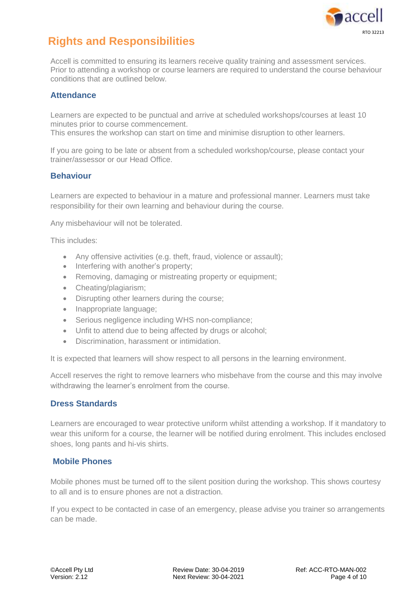

# <span id="page-3-0"></span>**Rights and Responsibilities**

Accell is committed to ensuring its learners receive quality training and assessment services. Prior to attending a workshop or course learners are required to understand the course behaviour conditions that are outlined below.

#### <span id="page-3-1"></span>**Attendance**

Learners are expected to be punctual and arrive at scheduled workshops/courses at least 10 minutes prior to course commencement.

This ensures the workshop can start on time and minimise disruption to other learners.

If you are going to be late or absent from a scheduled workshop/course, please contact your trainer/assessor or our Head Office.

#### <span id="page-3-2"></span>**Behaviour**

Learners are expected to behaviour in a mature and professional manner. Learners must take responsibility for their own learning and behaviour during the course.

Any misbehaviour will not be tolerated.

This includes:

- Any offensive activities (e.g. theft, fraud, violence or assault);
- Interfering with another's property;
- Removing, damaging or mistreating property or equipment:
- Cheating/plagiarism;
- Disrupting other learners during the course;
- Inappropriate language;
- Serious negligence including WHS non-compliance;
- Unfit to attend due to being affected by drugs or alcohol;
- Discrimination, harassment or intimidation.

It is expected that learners will show respect to all persons in the learning environment.

Accell reserves the right to remove learners who misbehave from the course and this may involve withdrawing the learner's enrolment from the course.

#### <span id="page-3-3"></span>**Dress Standards**

Learners are encouraged to wear protective uniform whilst attending a workshop. If it mandatory to wear this uniform for a course, the learner will be notified during enrolment. This includes enclosed shoes, long pants and hi-vis shirts.

#### <span id="page-3-4"></span>**Mobile Phones**

Mobile phones must be turned off to the silent position during the workshop. This shows courtesy to all and is to ensure phones are not a distraction.

If you expect to be contacted in case of an emergency, please advise you trainer so arrangements can be made.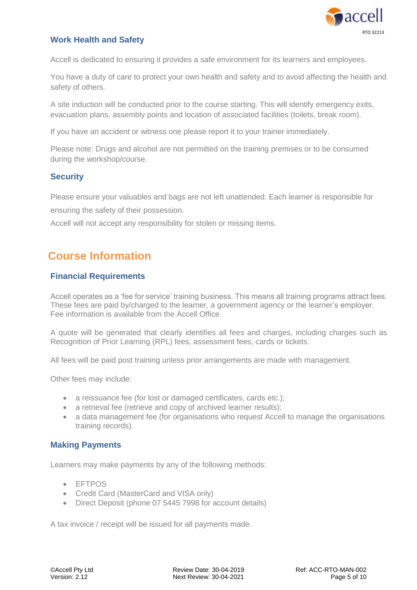

## <span id="page-4-0"></span>**Work Health and Safety**

Accell is dedicated to ensuring it provides a safe environment for its learners and employees.

You have a duty of care to protect your own health and safety and to avoid affecting the health and safety of others.

A site induction will be conducted prior to the course starting. This will identify emergency exits, evacuation plans, assembly points and location of associated facilities (toilets, break room).

If you have an accident or witness one please report it to your trainer immediately.

Please note: Drugs and alcohol are not permitted on the training premises or to be consumed during the workshop/course.

#### <span id="page-4-1"></span>**Security**

Please ensure your valuables and bags are not left unattended. Each learner is responsible for ensuring the safety of their possession.

Accell will not accept any responsibility for stolen or missing items.

# <span id="page-4-2"></span>**Course Information**

#### <span id="page-4-3"></span>**Financial Requirements**

Accell operates as a 'fee for service' training business. This means all training programs attract fees. These fees are paid by/charged to the learner, a government agency or the learner's employer. Fee information is available from the Accell Office.

A quote will be generated that clearly identifies all fees and charges, including charges such as Recognition of Prior Learning (RPL) fees, assessment fees, cards or tickets.

All fees will be paid post training unless prior arrangements are made with management.

Other fees may include:

- a reissuance fee (for lost or damaged certificates, cards etc.);
- a retrieval fee (retrieve and copy of archived learner results);
- a data management fee (for organisations who request Accell to manage the organisations training records).

#### <span id="page-4-4"></span>**Making Payments**

Learners may make payments by any of the following methods:

- EFTPOS
- Credit Card (MasterCard and VISA only)
- Direct Deposit (phone 07 5445 7998 for account details)

A tax invoice / receipt will be issued for all payments made.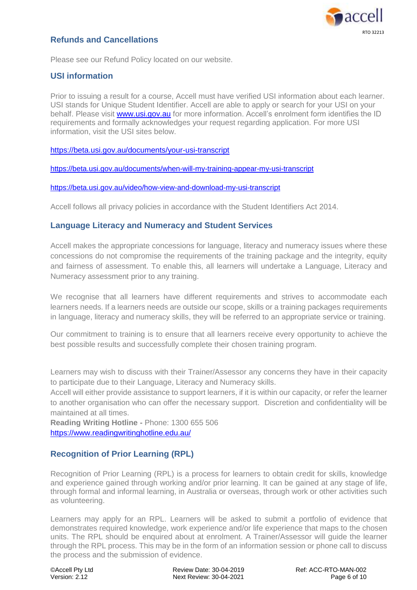

## <span id="page-5-0"></span>**Refunds and Cancellations**

Please see our Refund Policy located on our website.

#### <span id="page-5-1"></span>**USI information**

Prior to issuing a result for a course, Accell must have verified USI information about each learner. USI stands for Unique Student Identifier. Accell are able to apply or search for your USI on your behalf. Please visit [www.usi.gov.au](http://www.usi.gov.au/) for more information. Accell's enrolment form identifies the ID requirements and formally acknowledges your request regarding application. For more USI information, visit the USI sites below.

<https://beta.usi.gov.au/documents/your-usi-transcript>

<https://beta.usi.gov.au/documents/when-will-my-training-appear-my-usi-transcript>

<https://beta.usi.gov.au/video/how-view-and-download-my-usi-transcript>

Accell follows all privacy policies in accordance with the Student Identifiers Act 2014.

#### <span id="page-5-2"></span>**Language Literacy and Numeracy and Student Services**

Accell makes the appropriate concessions for language, literacy and numeracy issues where these concessions do not compromise the requirements of the training package and the integrity, equity and fairness of assessment. To enable this, all learners will undertake a Language, Literacy and Numeracy assessment prior to any training.

We recognise that all learners have different requirements and strives to accommodate each learners needs. If a learners needs are outside our scope, skills or a training packages requirements in language, literacy and numeracy skills, they will be referred to an appropriate service or training.

Our commitment to training is to ensure that all learners receive every opportunity to achieve the best possible results and successfully complete their chosen training program.

Learners may wish to discuss with their Trainer/Assessor any concerns they have in their capacity to participate due to their Language, Literacy and Numeracy skills.

Accell will either provide assistance to support learners, if it is within our capacity, or refer the learner to another organisation who can offer the necessary support. Discretion and confidentiality will be maintained at all times.

**Reading Writing Hotline -** Phone: 1300 655 506 <https://www.readingwritinghotline.edu.au/>

#### <span id="page-5-3"></span>**Recognition of Prior Learning (RPL)**

Recognition of Prior Learning (RPL) is a process for learners to obtain credit for skills, knowledge and experience gained through working and/or prior learning. It can be gained at any stage of life, through formal and informal learning, in Australia or overseas, through work or other activities such as volunteering.

Learners may apply for an RPL. Learners will be asked to submit a portfolio of evidence that demonstrates required knowledge, work experience and/or life experience that maps to the chosen units. The RPL should be enquired about at enrolment. A Trainer/Assessor will guide the learner through the RPL process. This may be in the form of an information session or phone call to discuss the process and the submission of evidence.

©Accell Pty Ltd Review Date: 30-04-2019 Ref: ACC-RTO-MAN-002 Version: 2.12 Next Review: 30-04-2021 Page 6 of 10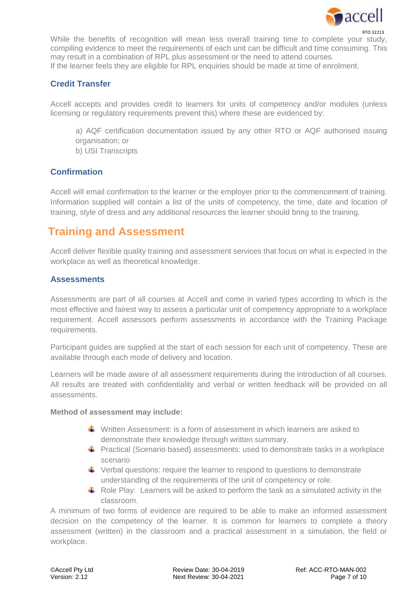

RTO 32213 While the benefits of recognition will mean less overall training time to complete your study, compiling evidence to meet the requirements of each unit can be difficult and time consuming. This may result in a combination of RPL plus assessment or the need to attend courses. If the learner feels they are eligible for RPL enquiries should be made at time of enrolment.

## <span id="page-6-0"></span>**Credit Transfer**

Accell accepts and provides credit to learners for units of competency and/or modules (unless licensing or regulatory requirements prevent this) where these are evidenced by:

a) AQF certification documentation issued by any other RTO or AQF authorised issuing organisation; or

b) USI Transcripts

# <span id="page-6-1"></span>**Confirmation**

Accell will email confirmation to the learner or the employer prior to the commencement of training. Information supplied will contain a list of the units of competency, the time, date and location of training, style of dress and any additional resources the learner should bring to the training.

# <span id="page-6-2"></span>**Training and Assessment**

Accell deliver flexible quality training and assessment services that focus on what is expected in the workplace as well as theoretical knowledge.

#### <span id="page-6-3"></span>**Assessments**

Assessments are part of all courses at Accell and come in varied types according to which is the most effective and fairest way to assess a particular unit of competency appropriate to a workplace requirement. Accell assessors perform assessments in accordance with the Training Package requirements.

Participant guides are supplied at the start of each session for each unit of competency. These are available through each mode of delivery and location.

Learners will be made aware of all assessment requirements during the introduction of all courses. All results are treated with confidentiality and verbal or written feedback will be provided on all assessments.

#### **Method of assessment may include:**

- $\perp$  Written Assessment: is a form of assessment in which learners are asked to demonstrate their knowledge through written summary.
- **F** Practical (Scenario based) assessments: used to demonstrate tasks in a workplace scenario
- $\ddot{\bullet}$  Verbal questions: require the learner to respond to questions to demonstrate understanding of the requirements of the unit of competency or role.
- Role Play: Learners will be asked to perform the task as a simulated activity in the classroom.

A minimum of two forms of evidence are required to be able to make an informed assessment decision on the competency of the learner. It is common for learners to complete a theory assessment (written) in the classroom and a practical assessment in a simulation, the field or workplace.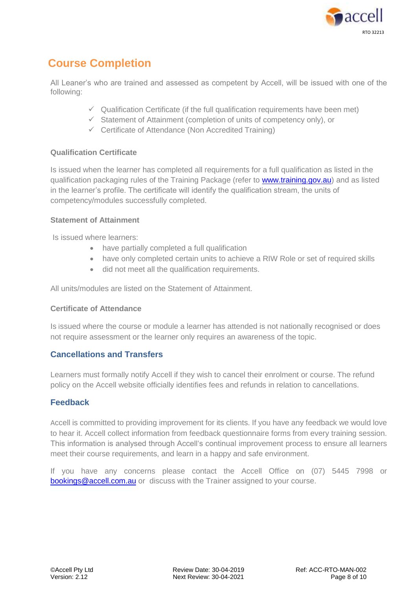

# <span id="page-7-0"></span>**Course Completion**

All Leaner's who are trained and assessed as competent by Accell, will be issued with one of the following:

- $\checkmark$  Qualification Certificate (if the full qualification requirements have been met)
- $\checkmark$  Statement of Attainment (completion of units of competency only), or
- $\checkmark$  Certificate of Attendance (Non Accredited Training)

#### **Qualification Certificate**

Is issued when the learner has completed all requirements for a full qualification as listed in the qualification packaging rules of the Training Package (refer to [www.training.gov.au\)](http://www.training.gov.au/) and as listed in the learner's profile. The certificate will identify the qualification stream, the units of competency/modules successfully completed.

#### **Statement of Attainment**

Is issued where learners:

- have partially completed a full qualification
- have only completed certain units to achieve a RIW Role or set of required skills
- did not meet all the qualification requirements.

All units/modules are listed on the Statement of Attainment.

#### **Certificate of Attendance**

Is issued where the course or module a learner has attended is not nationally recognised or does not require assessment or the learner only requires an awareness of the topic.

## <span id="page-7-1"></span>**Cancellations and Transfers**

Learners must formally notify Accell if they wish to cancel their enrolment or course. The refund policy on the Accell website officially identifies fees and refunds in relation to cancellations.

#### <span id="page-7-2"></span>**Feedback**

Accell is committed to providing improvement for its clients. If you have any feedback we would love to hear it. Accell collect information from feedback questionnaire forms from every training session. This information is analysed through Accell's continual improvement process to ensure all learners meet their course requirements, and learn in a happy and safe environment.

If you have any concerns please contact the Accell Office on (07) 5445 7998 or [bookings@accell.com.au](mailto:bookings@accell.com.au) or discuss with the Trainer assigned to your course.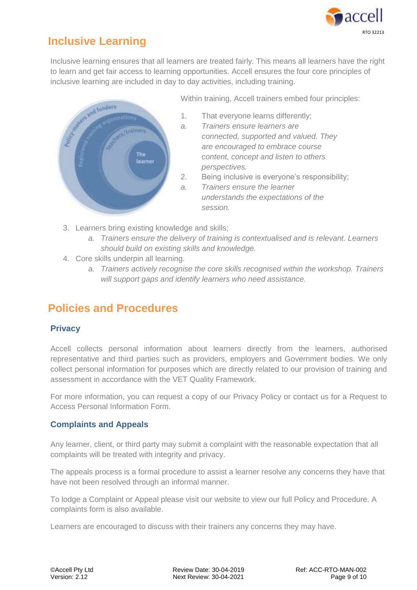

# <span id="page-8-0"></span>**Inclusive Learning**

Inclusive learning ensures that all learners are treated fairly. This means all learners have the right to learn and get fair access to learning opportunities. Accell ensures the four core principles of inclusive learning are included in day to day activities, including training.



Within training, Accell trainers embed four principles:

- 1. That everyone learns differently;
- *a. Trainers ensure learners are connected, supported and valued. They are encouraged to embrace course content, concept and listen to others perspectives.*
- 2. Being inclusive is everyone's responsibility;
- *a. Trainers ensure the learner understands the expectations of the session.*
- 3. Learners bring existing knowledge and skills;
	- *a. Trainers ensure the delivery of training is contextualised and is relevant. Learners should build on existing skills and knowledge.*
- 4. Core skills underpin all learning.
	- *a. Trainers actively recognise the core skills recognised within the workshop. Trainers will support gaps and identify learners who need assistance.*

# <span id="page-8-1"></span>**Policies and Procedures**

## <span id="page-8-2"></span>**Privacy**

Accell collects personal information about learners directly from the learners, authorised representative and third parties such as providers, employers and Government bodies. We only collect personal information for purposes which are directly related to our provision of training and assessment in accordance with the VET Quality Framework.

For more information, you can request a copy of our Privacy Policy or contact us for a Request to Access Personal Information Form.

## <span id="page-8-3"></span>**Complaints and Appeals**

Any learner, client, or third party may submit a complaint with the reasonable expectation that all complaints will be treated with integrity and privacy.

The appeals process is a formal procedure to assist a learner resolve any concerns they have that have not been resolved through an informal manner.

To lodge a Complaint or Appeal please visit our website to view our full Policy and Procedure. A complaints form is also available.

Learners are encouraged to discuss with their trainers any concerns they may have.

©Accell Pty Ltd Review Date: 30-04-2019 Ref: ACC-RTO-MAN-002 Version: 2.12 **Next Review: 30-04-2021** Page 9 of 10